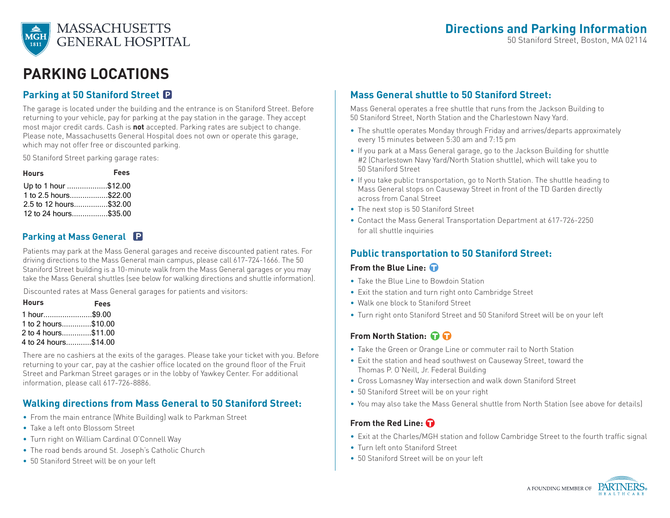

# **Parking Locations**

# **Parking at 50 Staniford Street**

The garage is located under the building and the entrance is on Staniford Street. Before returning to your vehicle, pay for parking at the pay station in the garage. They accept most major credit cards. Cash is **not** accepted. Parking rates are subject to change. Please note, Massachusetts General Hospital does not own or operate this garage, which may not offer free or discounted parking.

50 Staniford Street parking garage rates:

| <b>Hours</b>           | <b>Fees</b> |
|------------------------|-------------|
| Up to 1 hour \$12.00   |             |
| 1 to 2.5 hours\$22.00  |             |
| 2.5 to 12 hours\$32.00 |             |
| 12 to 24 hours\$35.00  |             |

## **Parking at Mass General**

Patients may park at the Mass General garages and receive discounted patient rates. For driving directions to the Mass General main campus, please call 617-724-1666. The 50 Staniford Street building is a 10-minute walk from the Mass General garages or you may take the Mass General shuttles (see below for walking directions and shuttle information).

Discounted rates at Mass General garages for patients and visitors:

| <b>Hours</b>         | <b>Fees</b> |
|----------------------|-------------|
| 1 hour\$9.00         |             |
| 1 to 2 hours\$10.00  |             |
| 2 to 4 hours\$11.00  |             |
| 4 to 24 hours\$14.00 |             |

There are no cashiers at the exits of the garages. Please take your ticket with you. Before returning to your car, pay at the cashier office located on the ground floor of the Fruit Street and Parkman Street garages or in the lobby of Yawkey Center. For additional information, please call 617-726-8886.

### **Walking directions from Mass General to 50 Staniford Street:**

- From the main entrance (White Building) walk to Parkman Street
- Take a left onto Blossom Street
- Turn right on William Cardinal O'Connell Way
- The road bends around St. Joseph's Catholic Church
- 50 Staniford Street will be on your left

# **Mass General shuttle to 50 Staniford Street:**

Mass General operates a free shuttle that runs from the Jackson Building to 50 Staniford Street, North Station and the Charlestown Navy Yard.

- The shuttle operates Monday through Friday and arrives/departs approximately every 15 minutes between 5:30 am and 7:15 pm
- If you park at a Mass General garage, go to the Jackson Building for shuttle #2 (Charlestown Navy Yard/North Station shuttle), which will take you to 50 Staniford Street
- If you take public transportation, go to North Station. The shuttle heading to Mass General stops on Causeway Street in front of the TD Garden directly across from Canal Street
- The next stop is 50 Staniford Street
- Contact the Mass General Transportation Department at 617-726-2250 for all shuttle inquiries

## **Public transportation to 50 Staniford Street:**

#### **From the Blue Line:**

- Take the Blue Line to Bowdoin Station
- Exit the station and turn right onto Cambridge Street
- Walk one block to Staniford Street
- Turn right onto Staniford Street and 50 Staniford Street will be on your left

### **From North Station:**

- Take the Green or Orange Line or commuter rail to North Station
- Exit the station and head southwest on Causeway Street, toward the Thomas P. O'Neill, Jr. Federal Building
- Cross Lomasney Way intersection and walk down Staniford Street
- 50 Staniford Street will be on your right
- You may also take the Mass General shuttle from North Station (see above for details)

#### **From the Red Line:**

- Exit at the Charles/MGH station and follow Cambridge Street to the fourth traffic signal
- Turn left onto Staniford Street
- 50 Staniford Street will be on your left